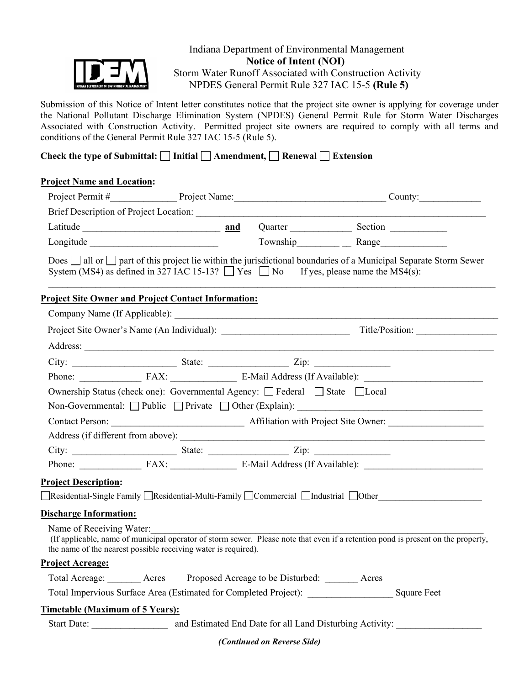

## Indiana Department of Environmental Management  **Notice of Intent (NOI)** Storm Water Runoff Associated with Construction Activity NPDES General Permit Rule 327 IAC 15-5 **(Rule 5)**

Submission of this Notice of Intent letter constitutes notice that the project site owner is applying for coverage under the National Pollutant Discharge Elimination System (NPDES) General Permit Rule for Storm Water Discharges Associated with Construction Activity. Permitted project site owners are required to comply with all terms and conditions of the General Permit Rule 327 IAC 15-5 (Rule 5).

# Check the type of Submittal: □ Initial □ Amendment, □ Renewal □ Extension

#### **Project Name and Location:**

|                                 |                                                                                                |  |  | Latitude <b>Example 2018</b> 2 and Quarter <b>Constantine Constantine Constantine Constantine Constantine Constantine Constantine Constantine Constantine Constantine Constantine Constantine Constantine Constantine Constantine Con</b> |  |
|---------------------------------|------------------------------------------------------------------------------------------------|--|--|-------------------------------------------------------------------------------------------------------------------------------------------------------------------------------------------------------------------------------------------|--|
|                                 |                                                                                                |  |  |                                                                                                                                                                                                                                           |  |
|                                 | System (MS4) as defined in 327 IAC 15-13? $\Box$ Yes $\Box$ No If yes, please name the MS4(s): |  |  | Does $\Box$ all or $\Box$ part of this project lie within the jurisdictional boundaries of a Municipal Separate Storm Sewer                                                                                                               |  |
|                                 | <b>Project Site Owner and Project Contact Information:</b>                                     |  |  |                                                                                                                                                                                                                                           |  |
|                                 |                                                                                                |  |  |                                                                                                                                                                                                                                           |  |
|                                 |                                                                                                |  |  |                                                                                                                                                                                                                                           |  |
|                                 |                                                                                                |  |  | Address:                                                                                                                                                                                                                                  |  |
|                                 |                                                                                                |  |  |                                                                                                                                                                                                                                           |  |
|                                 |                                                                                                |  |  | Phone: FAX: FAX: E-Mail Address (If Available):                                                                                                                                                                                           |  |
|                                 | Ownership Status (check one): Governmental Agency: □ Federal □ State □ Local                   |  |  |                                                                                                                                                                                                                                           |  |
|                                 |                                                                                                |  |  | Non-Governmental: Public Private Other (Explain): ______________________________                                                                                                                                                          |  |
|                                 |                                                                                                |  |  |                                                                                                                                                                                                                                           |  |
|                                 |                                                                                                |  |  |                                                                                                                                                                                                                                           |  |
|                                 | City: State: <u>State:</u> Zip:                                                                |  |  |                                                                                                                                                                                                                                           |  |
|                                 |                                                                                                |  |  | Phone: FAX: FAX: E-Mail Address (If Available):                                                                                                                                                                                           |  |
| <b>Project Description:</b>     |                                                                                                |  |  |                                                                                                                                                                                                                                           |  |
|                                 |                                                                                                |  |  | ■Residential-Single Family ■Residential-Multi-Family ■Commercial ■Industrial ■Other                                                                                                                                                       |  |
| <b>Discharge Information:</b>   |                                                                                                |  |  |                                                                                                                                                                                                                                           |  |
| Name of Receiving Water:        | the name of the nearest possible receiving water is required).                                 |  |  | (If applicable, name of municipal operator of storm sewer. Please note that even if a retention pond is present on the property,                                                                                                          |  |
| <b>Project Acreage:</b>         |                                                                                                |  |  |                                                                                                                                                                                                                                           |  |
|                                 | Total Acreage: ________ Acres Proposed Acreage to be Disturbed: _______ Acres                  |  |  |                                                                                                                                                                                                                                           |  |
|                                 |                                                                                                |  |  |                                                                                                                                                                                                                                           |  |
|                                 |                                                                                                |  |  |                                                                                                                                                                                                                                           |  |
| Timetable (Maximum of 5 Years): |                                                                                                |  |  |                                                                                                                                                                                                                                           |  |

*(Continued on Reverse Side)*